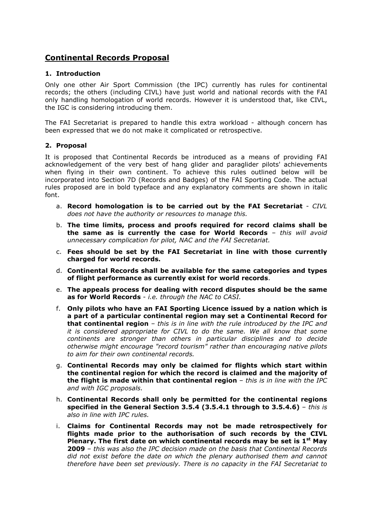## **Continental Records Proposal**

## **1. Introduction**

Only one other Air Sport Commission (the IPC) currently has rules for continental records; the others (including CIVL) have just world and national records with the FAI only handling homologation of world records. However it is understood that, like CIVL, the IGC is considering introducing them.

The FAI Secretariat is prepared to handle this extra workload - although concern has been expressed that we do not make it complicated or retrospective.

## **2. Proposal**

It is proposed that Continental Records be introduced as a means of providing FAI acknowledgement of the very best of hang glider and paraglider pilots' achievements when flying in their own continent. To achieve this rules outlined below will be incorporated into Section 7D (Records and Badges) of the FAI Sporting Code. The actual rules proposed are in bold typeface and any explanatory comments are shown in italic font.

- a. **Record homologation is to be carried out by the FAI Secretariat** *CIVL does not have the authority or resources to manage this.*
- b. **The time limits, process and proofs required for record claims shall be the same as is currently the case for World Records** – *this will avoid unnecessary complication for pilot, NAC and the FAI Secretariat.*
- c. **Fees should be set by the FAI Secretariat in line with those currently charged for world records.**
- d. **Continental Records shall be available for the same categories and types of flight performance as currently exist for world records**.
- e. **The appeals process for dealing with record disputes should be the same as for World Records** - *i.e. through the NAC to CASI.*
- f. **Only pilots who have an FAI Sporting Licence issued by a nation which is a part of a particular continental region may set a Continental Record for that continental region** – *this is in line with the rule introduced by the IPC and it is considered appropriate for CIVL to do the same. We all know that some continents are stronger than others in particular disciplines and to decide otherwise might encourage "record tourism" rather than encouraging native pilots to aim for their own continental records.*
- g. **Continental Records may only be claimed for flights which start within the continental region for which the record is claimed and the majority of the flight is made within that continental region** – *this is in line with the IPC and with IGC proposals.*
- h. **Continental Records shall only be permitted for the continental regions specified in the General Section 3.5.4 (3.5.4.1 through to 3.5.4.6)** – *this is also in line with IPC rules.*
- i. **Claims for Continental Records may not be made retrospectively for flights made prior to the authorisation of such records by the CIVL Plenary. The first date on which continental records may be set is 1st May 2009** – *this was also the IPC decision made on the basis that Continental Records did not exist before the date on which the plenary authorised them and cannot therefore have been set previously. There is no capacity in the FAI Secretariat to*